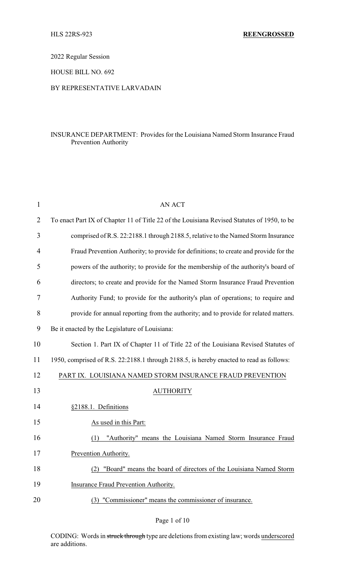2022 Regular Session

HOUSE BILL NO. 692

## BY REPRESENTATIVE LARVADAIN

## INSURANCE DEPARTMENT: Provides for the Louisiana Named Storm Insurance Fraud Prevention Authority

| 1              | <b>AN ACT</b>                                                                               |
|----------------|---------------------------------------------------------------------------------------------|
| $\overline{2}$ | To enact Part IX of Chapter 11 of Title 22 of the Louisiana Revised Statutes of 1950, to be |
| 3              | comprised of R.S. 22:2188.1 through 2188.5, relative to the Named Storm Insurance           |
| $\overline{4}$ | Fraud Prevention Authority; to provide for definitions; to create and provide for the       |
| 5              | powers of the authority; to provide for the membership of the authority's board of          |
| 6              | directors; to create and provide for the Named Storm Insurance Fraud Prevention             |
| 7              | Authority Fund; to provide for the authority's plan of operations; to require and           |
| 8              | provide for annual reporting from the authority; and to provide for related matters.        |
| 9              | Be it enacted by the Legislature of Louisiana:                                              |
| 10             | Section 1. Part IX of Chapter 11 of Title 22 of the Louisiana Revised Statutes of           |
| 11             | 1950, comprised of R.S. 22:2188.1 through 2188.5, is hereby enacted to read as follows:     |
| 12             | PART IX. LOUISIANA NAMED STORM INSURANCE FRAUD PREVENTION                                   |
| 13             | <b>AUTHORITY</b>                                                                            |
| 14             | §2188.1. Definitions                                                                        |
| 15             | As used in this Part:                                                                       |
| 16             | "Authority" means the Louisiana Named Storm Insurance Fraud<br>(1)                          |
| 17             | Prevention Authority.                                                                       |
| 18             | "Board" means the board of directors of the Louisiana Named Storm<br>(2)                    |
| 19             | Insurance Fraud Prevention Authority.                                                       |
| 20             | "Commissioner" means the commissioner of insurance.<br>(3)                                  |

## Page 1 of 10

CODING: Words in struck through type are deletions from existing law; words underscored are additions.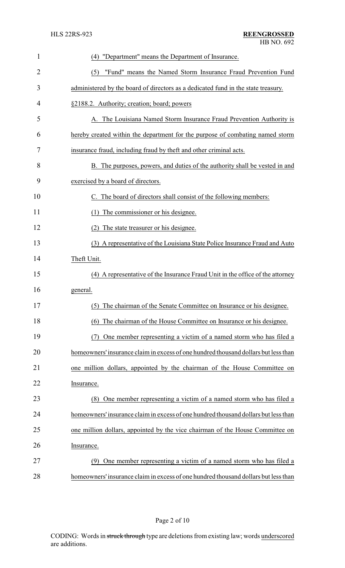| $\mathbf{1}$ | "Department" means the Department of Insurance.<br>(4)                              |
|--------------|-------------------------------------------------------------------------------------|
| 2            | "Fund" means the Named Storm Insurance Fraud Prevention Fund<br>(5)                 |
| 3            | administered by the board of directors as a dedicated fund in the state treasury.   |
| 4            | §2188.2. Authority; creation; board; powers                                         |
| 5            | A. The Louisiana Named Storm Insurance Fraud Prevention Authority is                |
| 6            | hereby created within the department for the purpose of combating named storm       |
| 7            | insurance fraud, including fraud by theft and other criminal acts.                  |
| 8            | B. The purposes, powers, and duties of the authority shall be vested in and         |
| 9            | exercised by a board of directors.                                                  |
| 10           | C. The board of directors shall consist of the following members:                   |
| 11           | The commissioner or his designee.<br>(1)                                            |
| 12           | The state treasurer or his designee.<br>(2)                                         |
| 13           | (3) A representative of the Louisiana State Police Insurance Fraud and Auto         |
| 14           | Theft Unit.                                                                         |
| 15           | (4) A representative of the Insurance Fraud Unit in the office of the attorney      |
| 16           | general.                                                                            |
| 17           | (5) The chairman of the Senate Committee on Insurance or his designee.              |
| 18           | The chairman of the House Committee on Insurance or his designee.<br>(6)            |
| 19           | One member representing a victim of a named storm who has filed a<br>(7)            |
| 20           | homeowners' insurance claim in excess of one hundred thousand dollars but less than |
| 21           | one million dollars, appointed by the chairman of the House Committee on            |
| 22           | Insurance.                                                                          |
| 23           | One member representing a victim of a named storm who has filed a<br>(8)            |
| 24           | homeowners' insurance claim in excess of one hundred thousand dollars but less than |
| 25           | one million dollars, appointed by the vice chairman of the House Committee on       |
| 26           | Insurance.                                                                          |
| 27           | (9) One member representing a victim of a named storm who has filed a               |
| 28           | homeowners' insurance claim in excess of one hundred thousand dollars but less than |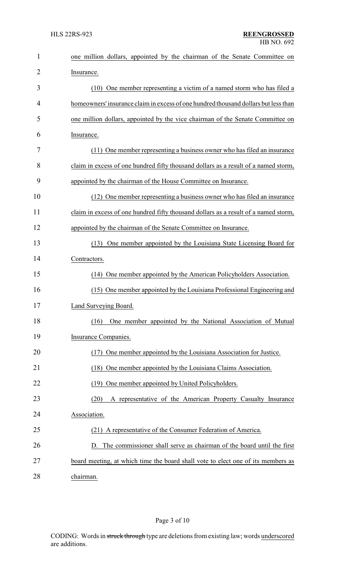| $\mathbf{1}$   | one million dollars, appointed by the chairman of the Senate Committee on           |
|----------------|-------------------------------------------------------------------------------------|
| $\overline{2}$ | Insurance.                                                                          |
| 3              | One member representing a victim of a named storm who has filed a<br>(10)           |
| 4              | homeowners' insurance claim in excess of one hundred thousand dollars but less than |
| 5              | one million dollars, appointed by the vice chairman of the Senate Committee on      |
| 6              | Insurance.                                                                          |
| 7              | (11) One member representing a business owner who has filed an insurance            |
| 8              | claim in excess of one hundred fifty thousand dollars as a result of a named storm, |
| 9              | appointed by the chairman of the House Committee on Insurance.                      |
| 10             | (12) One member representing a business owner who has filed an insurance            |
| 11             | claim in excess of one hundred fifty thousand dollars as a result of a named storm, |
| 12             | appointed by the chairman of the Senate Committee on Insurance.                     |
| 13             | One member appointed by the Louisiana State Licensing Board for<br>(13)             |
| 14             | Contractors.                                                                        |
| 15             | (14) One member appointed by the American Policyholders Association.                |
| 16             | (15) One member appointed by the Louisiana Professional Engineering and             |
| 17             | Land Surveying Board.                                                               |
| 18             | One member appointed by the National Association of Mutual<br>(16)                  |
| 19             | Insurance Companies.                                                                |
| 20             | One member appointed by the Louisiana Association for Justice.<br>(17)              |
| 21             | One member appointed by the Louisiana Claims Association.<br>(18)                   |
| 22             | One member appointed by United Policyholders.<br>(19)                               |
| 23             | A representative of the American Property Casualty Insurance<br>(20)                |
| 24             | Association.                                                                        |
| 25             | (21) A representative of the Consumer Federation of America.                        |
| 26             | D. The commissioner shall serve as chairman of the board until the first            |
| 27             | board meeting, at which time the board shall vote to elect one of its members as    |
| 28             | chairman.                                                                           |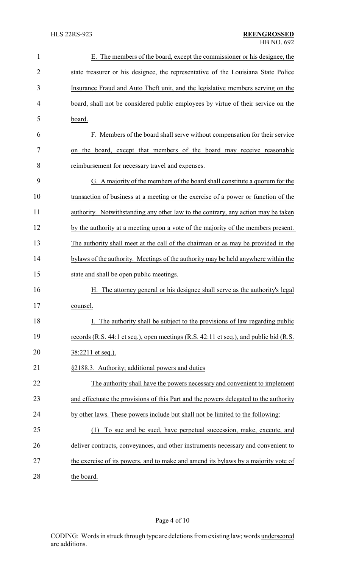| $\mathbf{1}$ | E. The members of the board, except the commissioner or his designee, the             |
|--------------|---------------------------------------------------------------------------------------|
| 2            | state treasurer or his designee, the representative of the Louisiana State Police     |
| 3            | Insurance Fraud and Auto Theft unit, and the legislative members serving on the       |
| 4            | board, shall not be considered public employees by virtue of their service on the     |
| 5            | board.                                                                                |
| 6            | F. Members of the board shall serve without compensation for their service            |
| 7            | on the board, except that members of the board may receive reasonable                 |
| 8            | reimbursement for necessary travel and expenses.                                      |
| 9            | G. A majority of the members of the board shall constitute a quorum for the           |
| 10           | transaction of business at a meeting or the exercise of a power or function of the    |
| 11           | authority. Notwithstanding any other law to the contrary, any action may be taken     |
| 12           | by the authority at a meeting upon a vote of the majority of the members present.     |
| 13           | The authority shall meet at the call of the chairman or as may be provided in the     |
| 14           | bylaws of the authority. Meetings of the authority may be held anywhere within the    |
| 15           | state and shall be open public meetings.                                              |
| 16           | The attorney general or his designee shall serve as the authority's legal<br>Η.       |
| 17           | counsel.                                                                              |
| 18           | I. The authority shall be subject to the provisions of law regarding public           |
| 19           | records (R.S. 44:1 et seq.), open meetings (R.S. 42:11 et seq.), and public bid (R.S. |
| 20           | 38:2211 et seq.).                                                                     |
| 21           | §2188.3. Authority; additional powers and duties                                      |
| 22           | The authority shall have the powers necessary and convenient to implement             |
| 23           | and effectuate the provisions of this Part and the powers delegated to the authority  |
| 24           | by other laws. These powers include but shall not be limited to the following:        |
| 25           | To sue and be sued, have perpetual succession, make, execute, and<br>(1)              |
| 26           | deliver contracts, conveyances, and other instruments necessary and convenient to     |
| 27           | the exercise of its powers, and to make and amend its bylaws by a majority vote of    |
| 28           | the board.                                                                            |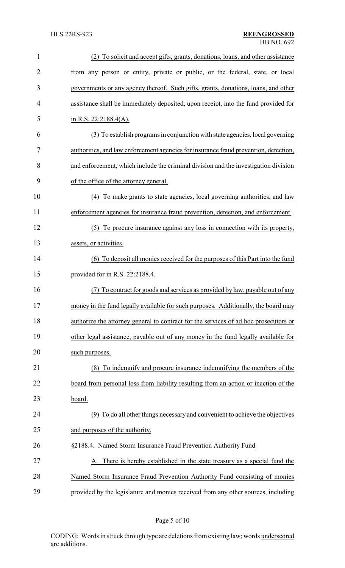| $\mathbf{1}$   | (2) To solicit and accept gifts, grants, donations, loans, and other assistance      |
|----------------|--------------------------------------------------------------------------------------|
| $\overline{2}$ | from any person or entity, private or public, or the federal, state, or local        |
| 3              | governments or any agency thereof. Such gifts, grants, donations, loans, and other   |
| 4              | assistance shall be immediately deposited, upon receipt, into the fund provided for  |
| 5              | in R.S. 22:2188.4(A).                                                                |
| 6              | (3) To establish programs in conjunction with state agencies, local governing        |
| 7              | authorities, and law enforcement agencies for insurance fraud prevention, detection, |
| 8              | and enforcement, which include the criminal division and the investigation division  |
| 9              | of the office of the attorney general.                                               |
| 10             | (4) To make grants to state agencies, local governing authorities, and law           |
| 11             | enforcement agencies for insurance fraud prevention, detection, and enforcement.     |
| 12             | (5) To procure insurance against any loss in connection with its property,           |
| 13             | assets, or activities.                                                               |
| 14             | (6) To deposit all monies received for the purposes of this Part into the fund       |
| 15             | provided for in R.S. 22:2188.4.                                                      |
| 16             | To contract for goods and services as provided by law, payable out of any            |
| 17             | money in the fund legally available for such purposes. Additionally, the board may   |
| 18             | authorize the attorney general to contract for the services of ad hoc prosecutors or |
| 19             | other legal assistance, payable out of any money in the fund legally available for   |
| 20             | such purposes.                                                                       |
| 21             | To indemnify and procure insurance indemnifying the members of the<br>(8)            |
| 22             | board from personal loss from liability resulting from an action or inaction of the  |
| 23             | board.                                                                               |
| 24             | (9) To do all other things necessary and convenient to achieve the objectives        |
| 25             | and purposes of the authority.                                                       |
| 26             | §2188.4. Named Storm Insurance Fraud Prevention Authority Fund                       |
| 27             | There is hereby established in the state treasury as a special fund the              |
| 28             | Named Storm Insurance Fraud Prevention Authority Fund consisting of monies           |
| 29             | provided by the legislature and monies received from any other sources, including    |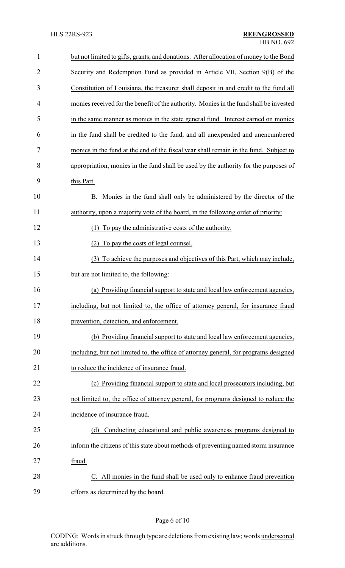| $\mathbf{1}$   | but not limited to gifts, grants, and donations. After allocation of money to the Bond |
|----------------|----------------------------------------------------------------------------------------|
| $\overline{2}$ | Security and Redemption Fund as provided in Article VII, Section 9(B) of the           |
| 3              | Constitution of Louisiana, the treasurer shall deposit in and credit to the fund all   |
| $\overline{4}$ | monies received for the benefit of the authority. Monies in the fund shall be invested |
| 5              | in the same manner as monies in the state general fund. Interest earned on monies      |
| 6              | in the fund shall be credited to the fund, and all unexpended and unencumbered         |
| 7              | monies in the fund at the end of the fiscal year shall remain in the fund. Subject to  |
| 8              | appropriation, monies in the fund shall be used by the authority for the purposes of   |
| 9              | this Part.                                                                             |
| 10             | B. Monies in the fund shall only be administered by the director of the                |
| 11             | authority, upon a majority vote of the board, in the following order of priority:      |
| 12             | To pay the administrative costs of the authority.<br>(1)                               |
| 13             | (2) To pay the costs of legal counsel.                                                 |
| 14             | To achieve the purposes and objectives of this Part, which may include,<br>(3)         |
| 15             | but are not limited to, the following:                                                 |
| 16             | (a) Providing financial support to state and local law enforcement agencies,           |
| 17             | including, but not limited to, the office of attorney general, for insurance fraud     |
| 18             | prevention, detection, and enforcement.                                                |
| 19             | (b) Providing financial support to state and local law enforcement agencies,           |
| 20             | including, but not limited to, the office of attorney general, for programs designed   |
| 21             | to reduce the incidence of insurance fraud.                                            |
| 22             | (c) Providing financial support to state and local prosecutors including, but          |
| 23             | not limited to, the office of attorney general, for programs designed to reduce the    |
| 24             | incidence of insurance fraud.                                                          |
| 25             | Conducting educational and public awareness programs designed to<br>(d)                |
| 26             | inform the citizens of this state about methods of preventing named storm insurance    |
| 27             | fraud.                                                                                 |
| 28             | C. All monies in the fund shall be used only to enhance fraud prevention               |
| 29             | efforts as determined by the board.                                                    |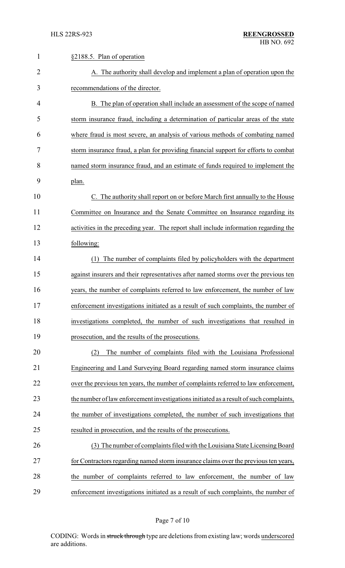| $\mathbf{1}$ | §2188.5. Plan of operation                                                             |
|--------------|----------------------------------------------------------------------------------------|
| 2            | A. The authority shall develop and implement a plan of operation upon the              |
| 3            | recommendations of the director.                                                       |
| 4            | B. The plan of operation shall include an assessment of the scope of named             |
| 5            | storm insurance fraud, including a determination of particular areas of the state      |
| 6            | where fraud is most severe, an analysis of various methods of combating named          |
| 7            | storm insurance fraud, a plan for providing financial support for efforts to combat    |
| 8            | named storm insurance fraud, and an estimate of funds required to implement the        |
| 9            | plan.                                                                                  |
| 10           | C. The authority shall report on or before March first annually to the House           |
| 11           | Committee on Insurance and the Senate Committee on Insurance regarding its             |
| 12           | activities in the preceding year. The report shall include information regarding the   |
| 13           | following:                                                                             |
| 14           | The number of complaints filed by policyholders with the department<br>(1)             |
| 15           | against insurers and their representatives after named storms over the previous ten    |
| 16           | years, the number of complaints referred to law enforcement, the number of law         |
| 17           | enforcement investigations initiated as a result of such complaints, the number of     |
| 18           | investigations completed, the number of such investigations that resulted in           |
| 19           | prosecution, and the results of the prosecutions.                                      |
| 20           | The number of complaints filed with the Louisiana Professional<br>(2)                  |
| 21           | Engineering and Land Surveying Board regarding named storm insurance claims            |
| 22           | over the previous ten years, the number of complaints referred to law enforcement,     |
| 23           | the number of law enforcement investigations initiated as a result of such complaints, |
| 24           | the number of investigations completed, the number of such investigations that         |
| 25           | resulted in prosecution, and the results of the prosecutions.                          |
| 26           | (3) The number of complaints filed with the Louisiana State Licensing Board            |
| 27           | for Contractors regarding named storm insurance claims over the previous ten years,    |
| 28           | the number of complaints referred to law enforcement, the number of law                |
| 29           | enforcement investigations initiated as a result of such complaints, the number of     |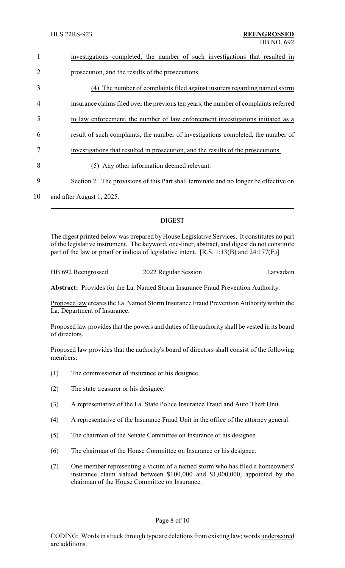| $\mathbf{1}$   | investigations completed, the number of such investigations that resulted in          |
|----------------|---------------------------------------------------------------------------------------|
| $\overline{2}$ | prosecution, and the results of the prosecutions.                                     |
| $\overline{3}$ | The number of complaints filed against insurers regarding named storm<br>(4)          |
| $\overline{4}$ | insurance claims filed over the previous ten years, the number of complaints referred |
| 5              | to law enforcement, the number of law enforcement investigations initiated as a       |
| 6              | result of such complaints, the number of investigations completed, the number of      |
|                | investigations that resulted in prosecution, and the results of the prosecutions.     |
| 8              | Any other information deemed relevant.<br>(5)                                         |
| 9              | Section 2. The provisions of this Part shall terminate and no longer be effective on  |
| $\sim$         |                                                                                       |

10 and after August 1, 2025.

# DIGEST

The digest printed below was prepared by House Legislative Services. It constitutes no part of the legislative instrument. The keyword, one-liner, abstract, and digest do not constitute part of the law or proof or indicia of legislative intent. [R.S. 1:13(B) and 24:177(E)]

| HB 692 Reengrossed | 2022 Regular Session | Larvadain |
|--------------------|----------------------|-----------|
|                    |                      |           |

**Abstract:** Provides for the La. Named Storm Insurance Fraud Prevention Authority.

Proposed law creates the La. Named Storm Insurance Fraud Prevention Authority within the La. Department of Insurance.

Proposed law provides that the powers and duties of the authority shall be vested in its board of directors.

Proposed law provides that the authority's board of directors shall consist of the following members:

- (1) The commissioner of insurance or his designee.
- (2) The state treasurer or his designee.
- (3) A representative of the La. State Police Insurance Fraud and Auto Theft Unit.
- (4) A representative of the Insurance Fraud Unit in the office of the attorney general.
- (5) The chairman of the Senate Committee on Insurance or his designee.
- (6) The chairman of the House Committee on Insurance or his designee.
- (7) One member representing a victim of a named storm who has filed a homeowners' insurance claim valued between \$100,000 and \$1,000,000, appointed by the chairman of the House Committee on Insurance.

## Page 8 of 10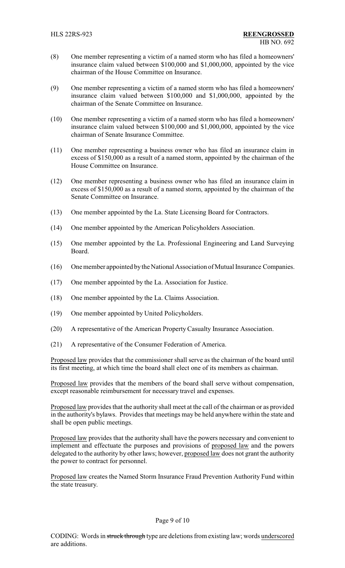- (8) One member representing a victim of a named storm who has filed a homeowners' insurance claim valued between \$100,000 and \$1,000,000, appointed by the vice chairman of the House Committee on Insurance.
- (9) One member representing a victim of a named storm who has filed a homeowners' insurance claim valued between \$100,000 and \$1,000,000, appointed by the chairman of the Senate Committee on Insurance.
- (10) One member representing a victim of a named storm who has filed a homeowners' insurance claim valued between \$100,000 and \$1,000,000, appointed by the vice chairman of Senate Insurance Committee.
- (11) One member representing a business owner who has filed an insurance claim in excess of \$150,000 as a result of a named storm, appointed by the chairman of the House Committee on Insurance.
- (12) One member representing a business owner who has filed an insurance claim in excess of \$150,000 as a result of a named storm, appointed by the chairman of the Senate Committee on Insurance.
- (13) One member appointed by the La. State Licensing Board for Contractors.
- (14) One member appointed by the American Policyholders Association.
- (15) One member appointed by the La. Professional Engineering and Land Surveying Board.
- (16) One member appointed bythe National Association of Mutual Insurance Companies.
- (17) One member appointed by the La. Association for Justice.
- (18) One member appointed by the La. Claims Association.
- (19) One member appointed by United Policyholders.
- (20) A representative of the American Property Casualty Insurance Association.
- (21) A representative of the Consumer Federation of America.

Proposed law provides that the commissioner shall serve as the chairman of the board until its first meeting, at which time the board shall elect one of its members as chairman.

Proposed law provides that the members of the board shall serve without compensation, except reasonable reimbursement for necessary travel and expenses.

Proposed law provides that the authority shall meet at the call of the chairman or as provided in the authority's bylaws. Provides that meetings may be held anywhere within the state and shall be open public meetings.

Proposed law provides that the authority shall have the powers necessary and convenient to implement and effectuate the purposes and provisions of proposed law and the powers delegated to the authority by other laws; however, proposed law does not grant the authority the power to contract for personnel.

Proposed law creates the Named Storm Insurance Fraud Prevention Authority Fund within the state treasury.

#### Page 9 of 10